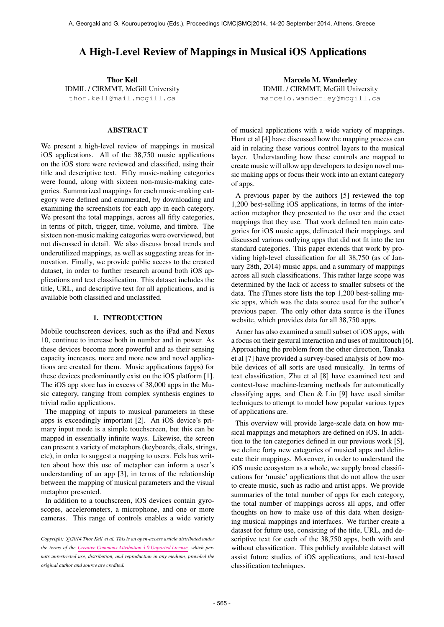# A High-Level Review of Mappings in Musical iOS Applications

Thor Kell IDMIL / CIRMMT, McGill University [thor.kell@mail.mcgill.ca](mailto:thor.kell@mail.mcgill.ca)

### ABSTRACT

We present a high-level review of mappings in musical iOS applications. All of the 38,750 music applications on the iOS store were reviewed and classified, using their title and descriptive text. Fifty music-making categories were found, along with sixteen non-music-making categories. Summarized mappings for each music-making category were defined and enumerated, by downloading and examining the screenshots for each app in each category. We present the total mappings, across all fifty categories, in terms of pitch, trigger, time, volume, and timbre. The sixteen non-music making categories were overviewed, but not discussed in detail. We also discuss broad trends and underutilized mappings, as well as suggesting areas for innovation. Finally, we provide public access to the created dataset, in order to further research around both iOS applications and text classification. This dataset includes the title, URL, and descriptive text for all applications, and is available both classified and unclassifed.

## 1. INTRODUCTION

Mobile touchscreen devices, such as the iPad and Nexus 10, continue to increase both in number and in power. As these devices become more powerful and as their sensing capacity increases, more and more new and novel applications are created for them. Music applications (apps) for these devices predominantly exist on the iOS platform [1]. The iOS app store has in excess of 38,000 apps in the Music category, ranging from complex synthesis engines to trivial radio applications.

The mapping of inputs to musical parameters in these apps is exceedingly important [2]. An iOS device's primary input mode is a simple touchscreen, but this can be mapped in essentially infinite ways. Likewise, the screen can present a variety of metaphors (keyboards, dials, strings, etc), in order to suggest a mapping to users. Fels has written about how this use of metaphor can inform a user's understanding of an app [3], in terms of the relationship between the mapping of musical parameters and the visual metaphor presented.

In addition to a touchscreen, iOS devices contain gyroscopes, accelerometers, a microphone, and one or more cameras. This range of controls enables a wide variety

Marcelo M. Wanderley IDMIL / CIRMMT, McGill University [marcelo.wanderley@mcgill.ca](mailto:marcelo.wanderley@mcgill.ca)

of musical applications with a wide variety of mappings. Hunt et al [4] have discussed how the mapping process can aid in relating these various control layers to the musical layer. Understanding how these controls are mapped to create music will allow app developers to design novel music making apps or focus their work into an extant category of apps.

A previous paper by the authors [5] reviewed the top 1,200 best-selling iOS applications, in terms of the interaction metaphor they presented to the user and the exact mappings that they use. That work defined ten main categories for iOS music apps, delineated their mappings, and discussed various outlying apps that did not fit into the ten standard categories. This paper extends that work by providing high-level classification for all 38,750 (as of January 28th, 2014) music apps, and a summary of mappings across all such classifications. This rather large scope was determined by the lack of access to smaller subsets of the data. The iTunes store lists the top 1,200 best-selling music apps, which was the data source used for the author's previous paper. The only other data source is the iTunes website, which provides data for all 38,750 apps.

Arner has also examined a small subset of iOS apps, with a focus on their gestural interaction and uses of multitouch [6]. Approaching the problem from the other direction, Tanaka et al [7] have provided a survey-based analysis of how mobile devices of all sorts are used musically. In terms of text classification, Zhu et al [8] have examined text and context-base machine-learning methods for automatically classifying apps, and Chen & Liu [9] have used similar techniques to attempt to model how popular various types of applications are.

This overview will provide large-scale data on how musical mappings and metaphors are defined on iOS. In addition to the ten categories defined in our previous work [5], we define forty new categories of musical apps and delineate their mappings. Moreover, in order to understand the iOS music ecosystem as a whole, we supply broad classifications for 'music' applications that do not allow the user to create music, such as radio and artist apps. We provide summaries of the total number of apps for each category, the total number of mappings across all apps, and offer thoughts on how to make use of this data when designing musical mappings and interfaces. We further create a dataset for future use, consisting of the title, URL, and descriptive text for each of the 38,750 apps, both with and without classification. This publicly available dataset will assist future studies of iOS applications, and text-based classification techniques.

Copyright:  $\bigcirc$ 2014 Thor Kell et al. This is an open-access article distributed under *the terms of the [Creative Commons Attribution 3.0 Unported License,](http://creativecommons.org/licenses/by/3.0/) which permits unrestricted use, distribution, and reproduction in any medium, provided the original author and source are credited.*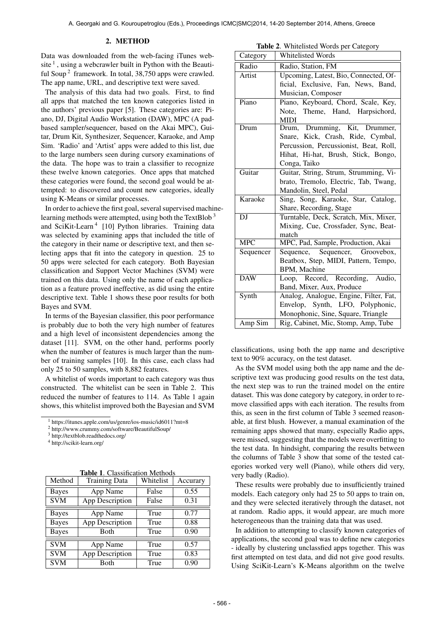#### 2. METHOD

Data was downloaded from the web-facing iTunes website  $\frac{1}{1}$ , using a webcrawler built in Python with the Beautiful Soup<sup>2</sup> framework. In total, 38,750 apps were crawled. The app name, URL, and descriptive text were saved.

The analysis of this data had two goals. First, to find all apps that matched the ten known categories listed in the authors' previous paper [5]. These categories are: Piano, DJ, Digital Audio Workstation (DAW), MPC (A padbased sampler/sequencer, based on the Akai MPC), Guitar, Drum Kit, Synthesizer, Sequencer, Karaoke, and Amp Sim. 'Radio' and 'Artist' apps were added to this list, due to the large numbers seen during cursory examinations of the data. The hope was to train a classifier to recognize these twelve known categories. Once apps that matched these categories were found, the second goal would be attempted: to discovered and count new categories, ideally using K-Means or similar processes.

In order to achieve the first goal, several supervised machinelearning methods were attempted, using both the TextBlob<sup>3</sup> and SciKit-Learn<sup>4</sup> [10] Python libraries. Training data was selected by examining apps that included the title of the category in their name or descriptive text, and then selecting apps that fit into the category in question. 25 to 50 apps were selected for each category. Both Bayesian classification and Support Vector Machines (SVM) were trained on this data. Using only the name of each application as a feature proved ineffective, as did using the entire descriptive text. Table 1 shows these poor results for both Bayes and SVM.

In terms of the Bayesian classifier, this poor performance is probably due to both the very high number of features and a high level of inconsistent dependencies among the dataset [11]. SVM, on the other hand, performs poorly when the number of features is much larger than the number of training samples [10]. In this case, each class had only 25 to 50 samples, with 8,882 features.

A whitelist of words important to each category was thus constructed. The whitelist can be seen in Table 2. This reduced the number of features to 114. As Table 1 again shows, this whitelist improved both the Bayesian and SVM

<sup>2</sup> http://www.crummy.com/software/BeautifulSoup/

<sup>4</sup> http://scikit-learn.org/

Table 1. Classification Methods

| Method       | <b>Training Data</b> | Whitelist | Accurary |
|--------------|----------------------|-----------|----------|
| <b>Bayes</b> | App Name             | False     | 0.55     |
| <b>SVM</b>   | App Description      | False     | 0.31     |
| <b>Bayes</b> | App Name             | True      | 0.77     |
| <b>Bayes</b> | App Description      | True      | 0.88     |
| <b>Bayes</b> | Both                 | True      | 0.90     |
| <b>SVM</b>   | App Name             | True      | 0.57     |
| <b>SVM</b>   | App Description      | True      | 0.83     |
| <b>SVM</b>   | Both                 | True      | 0.90     |

Table 2. Whitelisted Words per Category

|            | л.                                          |
|------------|---------------------------------------------|
| Category   | <b>Whitelisted Words</b>                    |
| Radio      | Radio, Station, FM                          |
| Artist     | Upcoming, Latest, Bio, Connected, Of-       |
|            | ficial, Exclusive, Fan, News, Band,         |
|            | Musician, Composer                          |
| Piano      | Piano, Keyboard, Chord, Scale, Key,         |
|            | Note, Theme, Hand, Harpsichord,             |
|            | <b>MIDI</b>                                 |
| Drum       | Drum, Drumming, Kit, Drummer,               |
|            | Snare, Kick, Crash, Ride, Cymbal,           |
|            | Percussion, Percussionist, Beat, Roll,      |
|            | Hihat, Hi-hat, Brush, Stick, Bongo,         |
|            | Conga, Taiko                                |
| Guitar     | Guitar, String, Strum, Strumming, Vi-       |
|            | brato, Tremolo, Electric, Tab, Twang,       |
|            | Mandolin, Steel, Pedal                      |
| Karaoke    | Sing, Song, Karaoke, Star, Catalog,         |
|            | Share, Recording, Stage                     |
| DJ         | Turntable, Deck, Scratch, Mix, Mixer,       |
|            | Mixing, Cue, Crossfader, Sync, Beat-        |
| <b>MPC</b> | match<br>MPC, Pad, Sample, Production, Akai |
| Sequencer  | Sequence, Sequencer, Groovebox,             |
|            | Beatbox, Step, MIDI, Pattern, Tempo,        |
|            | BPM, Machine                                |
| <b>DAW</b> | Loop, Record, Recording, Audio,             |
|            | Band, Mixer, Aux, Produce                   |
| Synth      | Analog, Analogue, Engine, Filter, Fat,      |
|            | Envelop, Synth, LFO, Polyphonic,            |
|            | Monophonic, Sine, Square, Triangle          |
| Amp Sim    | Rig, Cabinet, Mic, Stomp, Amp, Tube         |

classifications, using both the app name and descriptive text to 90% accuracy, on the test dataset.

As the SVM model using both the app name and the descriptive text was producing good results on the test data, the next step was to run the trained model on the entire dataset. This was done category by category, in order to remove classified apps with each iteration. The results from this, as seen in the first column of Table 3 seemed reasonable, at first blush. However, a manual examination of the remaining apps showed that many, especially Radio apps, were missed, suggesting that the models were overfitting to the test data. In hindsight, comparing the results between the columns of Table 3 show that some of the tested categories worked very well (Piano), while others did very, very badly (Radio).

These results were probably due to insufficiently trained models. Each category only had 25 to 50 apps to train on, and they were selected iteratively through the dataset, not at random. Radio apps, it would appear, are much more heterogeneous than the training data that was used.

In addition to attempting to classify known categories of applications, the second goal was to define new categories - ideally by clustering unclassfied apps together. This was first attempted on test data, and did not give good results. Using SciKit-Learn's K-Means algorithm on the twelve

<sup>1</sup> https://itunes.apple.com/us/genre/ios-music/id6011?mt=8

<sup>3</sup> http://textblob.readthedocs.org/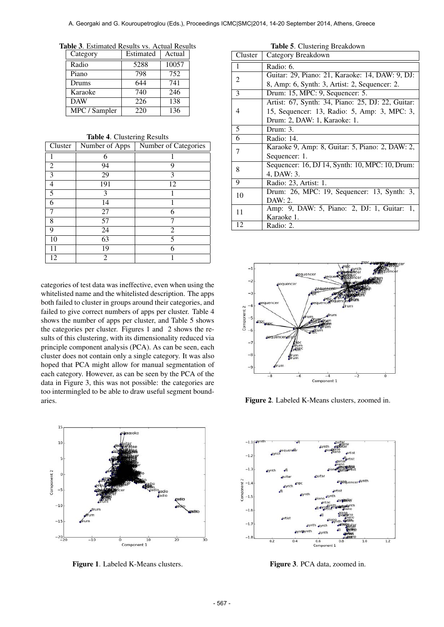Table 3. Estimated Results vs. Actual Results

| Category      | Estimated | Actual |
|---------------|-----------|--------|
| Radio         | 5288      | 10057  |
| Piano         | 798       | 752    |
| Drums         | 644       | 741    |
| Karaoke       | 740       | 246    |
| <b>DAW</b>    | 226       | 138    |
| MPC / Sampler | 220       | 136    |

Table 4. Clustering Results

| Cluster | Number of Apps | Number of Categories |
|---------|----------------|----------------------|
|         | 6              |                      |
| 2       | 94             | 9                    |
| 3       | 29             | 3                    |
| 4       | 191            | 12                   |
| 5       | 3              |                      |
| 6       | 14             |                      |
| 7       | 27             | 6                    |
| 8       | 57             |                      |
| 9       | 24             | 2                    |
| 10      | 63             | 5                    |
| 11      | 19             | 6                    |
| 12      | 2              |                      |

categories of test data was ineffective, even when using the whitelisted name and the whitelisted description. The apps both failed to cluster in groups around their categories, and failed to give correct numbers of apps per cluster. Table 4 shows the number of apps per cluster, and Table 5 shows the categories per cluster. Figures 1 and 2 shows the results of this clustering, with its dimensionality reduced via principle component analysis (PCA). As can be seen, each cluster does not contain only a single category. It was also hoped that PCA might allow for manual segmentation of each category. However, as can be seen by the PCA of the data in Figure 3, this was not possible: the categories are too intermingled to be able to draw useful segment boundaries.



Figure 1. Labeled K-Means clusters.

| Cluster        | Category Breakdown                                |
|----------------|---------------------------------------------------|
| 1              | Radio: 6.                                         |
| $\overline{2}$ | Guitar: 29, Piano: 21, Karaoke: 14, DAW: 9, DJ:   |
|                | 8, Amp: 6, Synth: 3, Artist: 2, Sequencer: 2.     |
| 3              | Drum: 15, MPC: 9, Sequencer: 5.                   |
|                | Artist: 67, Synth: 34, Piano: 25, DJ: 22, Guitar: |
| 4              | 15, Sequencer: 13, Radio: 5, Amp: 3, MPC: 3,      |
|                | Drum: 2, DAW: 1, Karaoke: 1.                      |
| 5              | Drum: 3.                                          |
| 6              | Radio: 14.                                        |
| 7              | Karaoke 9, Amp: 8, Guitar: 5, Piano: 2, DAW: 2,   |
|                | Sequencer: 1.                                     |
| 8              | Sequencer: 16, DJ 14, Synth: 10, MPC: 10, Drum:   |
|                | 4, DAW: 3.                                        |
| 9              | Radio: 23, Artist: 1.                             |
| 10             | Drum: 26, MPC: 19, Sequencer: 13, Synth: 3,       |
|                | DAW: 2.                                           |
| 11             | Amp: 9, DAW: 5, Piano: 2, DJ: 1, Guitar: 1,       |
|                | Karaoke 1.                                        |
| 12             | Radio: 2.                                         |



Figure 2. Labeled K-Means clusters, zoomed in.



Figure 3. PCA data, zoomed in.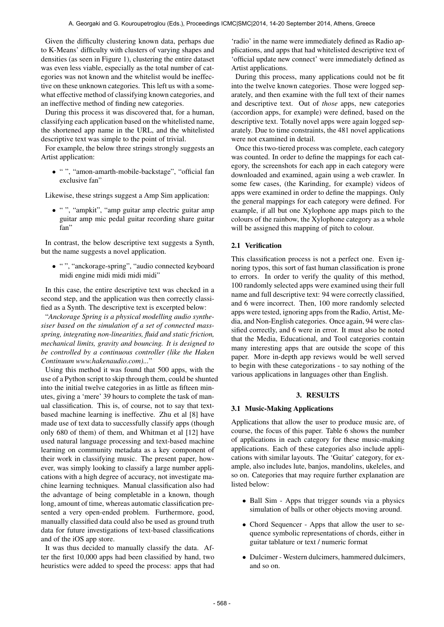Given the difficulty clustering known data, perhaps due to K-Means' difficulty with clusters of varying shapes and densities (as seen in Figure 1), clustering the entire dataset was even less viable, especially as the total number of categories was not known and the whitelist would be ineffective on these unknown categories. This left us with a somewhat effective method of classifying known categories, and an ineffective method of finding new categories.

During this process it was discovered that, for a human, classifying each application based on the whitelisted name, the shortened app name in the URL, and the whitelisted descriptive text was simple to the point of trivial.

For example, the below three strings strongly suggests an Artist application:

• " ", "amon-amarth-mobile-backstage", "official fan exclusive fan"

Likewise, these strings suggest a Amp Sim application:

• " ", "ampkit", "amp guitar amp electric guitar amp guitar amp mic pedal guitar recording share guitar fan"

In contrast, the below descriptive text suggests a Synth, but the name suggests a novel application.

• " ", "anckorage-spring", "audio connected keyboard midi engine midi midi midi midi"

In this case, the entire descriptive text was checked in a second step, and the application was then correctly classified as a Synth. The descriptive text is excerpted below:

"*Anckorage Spring is a physical modelling audio synthesiser based on the simulation of a set of connected massspring, integrating non-linearities, fluid and static friction, mechanical limits, gravity and bouncing. It is designed to be controlled by a continuous controller (like the Haken Continuum www.hakenaudio.com)...*"

Using this method it was found that 500 apps, with the use of a Python script to skip through them, could be shunted into the initial twelve categories in as little as fifteen minutes, giving a 'mere' 39 hours to complete the task of manual classification. This is, of course, not to say that textbased machine learning is ineffective. Zhu et al [8] have made use of text data to successfully classify apps (though only 680 of them) of them, and Whitman et al [12] have used natural language processing and text-based machine learning on community metadata as a key component of their work in classifying music. The present paper, however, was simply looking to classify a large number applications with a high degree of accuracy, not investigate machine learning techniques. Manual classification also had the advantage of being completable in a known, though long, amount of time, whereas automatic classification presented a very open-ended problem. Furthermore, good, manually classified data could also be used as ground truth data for future investigations of text-based classifications and of the iOS app store.

It was thus decided to manually classify the data. After the first 10,000 apps had been classified by hand, two heuristics were added to speed the process: apps that had 'radio' in the name were immediately defined as Radio applications, and apps that had whitelisted descriptive text of 'official update new connect' were immediately defined as Artist applications.

During this process, many applications could not be fit into the twelve known categories. Those were logged separately, and then examine with the full text of their names and descriptive text. Out of *those* apps, new categories (accordion apps, for example) were defined, based on the descriptive text. Totally novel apps were again logged separately. Due to time constraints, the 481 novel applications were not examined in detail.

Once this two-tiered process was complete, each category was counted. In order to define the mappings for each category, the screenshots for each app in each category were downloaded and examined, again using a web crawler. In some few cases, (the Karinding, for example) videos of apps were examined in order to define the mappings. Only the general mappings for each category were defined. For example, if all but one Xylophone app maps pitch to the colours of the rainbow, the Xylophone category as a whole will be assigned this mapping of pitch to colour.

# 2.1 Verification

This classification process is not a perfect one. Even ignoring typos, this sort of fast human classification is prone to errors. In order to verify the quality of this method, 100 randomly selected apps were examined using their full name and full descriptive text: 94 were correctly classified, and 6 were incorrect. Then, 100 more randomly selected apps were tested, ignoring apps from the Radio, Artist, Media, and Non-English categories. Once again, 94 were classified correctly, and 6 were in error. It must also be noted that the Media, Educational, and Tool categories contain many interesting apps that are outside the scope of this paper. More in-depth app reviews would be well served to begin with these categorizations - to say nothing of the various applications in languages other than English.

## 3. RESULTS

### 3.1 Music-Making Applications

Applications that allow the user to produce music are, of course, the focus of this paper. Table 6 shows the number of applications in each category for these music-making applications. Each of these categories also include applications with similar layouts. The 'Guitar' category, for example, also includes lute, banjos, mandolins, ukeleles, and so on. Categories that may require further explanation are listed below:

- Ball Sim Apps that trigger sounds via a physics simulation of balls or other objects moving around.
- Chord Sequencer Apps that allow the user to sequence symbolic representations of chords, either in guitar tablature or text / numeric format
- Dulcimer Western dulcimers, hammered dulcimers, and so on.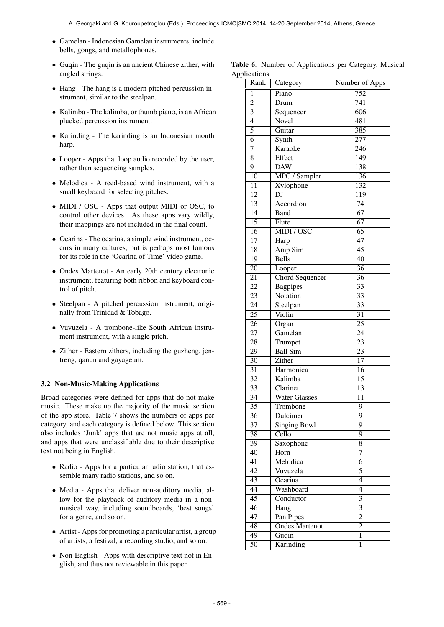- Gamelan Indonesian Gamelan instruments, include bells, gongs, and metallophones.
- Guqin The guqin is an ancient Chinese zither, with angled strings.
- Hang The hang is a modern pitched percussion instrument, similar to the steelpan.
- Kalimba The kalimba, or thumb piano, is an African plucked percussion instrument.
- Karinding The karinding is an Indonesian mouth harp.
- Looper Apps that loop audio recorded by the user, rather than sequencing samples.
- Melodica A reed-based wind instrument, with a small keyboard for selecting pitches.
- MIDI / OSC Apps that output MIDI or OSC, to control other devices. As these apps vary wildly, their mappings are not included in the final count.
- Ocarina The ocarina, a simple wind instrument, occurs in many cultures, but is perhaps most famous for its role in the 'Ocarina of Time' video game.
- Ondes Martenot An early 20th century electronic instrument, featuring both ribbon and keyboard control of pitch.
- Steelpan A pitched percussion instrument, originally from Trinidad & Tobago.
- Vuvuzela A trombone-like South African instrument instrument, with a single pitch.
- Zither Eastern zithers, including the guzheng, jentreng, qanun and gayageum.

### 3.2 Non-Music-Making Applications

Broad categories were defined for apps that do not make music. These make up the majority of the music section of the app store. Table 7 shows the numbers of apps per category, and each category is defined below. This section also includes 'Junk' apps that are not music apps at all, and apps that were unclassifiable due to their descriptive text not being in English.

- Radio Apps for a particular radio station, that assemble many radio stations, and so on.
- Media Apps that deliver non-auditory media, allow for the playback of auditory media in a nonmusical way, including soundboards, 'best songs' for a genre, and so on.
- Artist Apps for promoting a particular artist, a group of artists, a festival, a recording studio, and so on.
- Non-English Apps with descriptive text not in English, and thus not reviewable in this paper.

|              |  | Table 6. Number of Applications per Category, Musical |  |  |
|--------------|--|-------------------------------------------------------|--|--|
| Applications |  |                                                       |  |  |

| Rank            | Category               | Number of Apps            |
|-----------------|------------------------|---------------------------|
| 1               | Piano                  | 752                       |
| $\overline{2}$  | Drum                   | 741                       |
| $\overline{3}$  | Sequencer              | 606                       |
| $\overline{4}$  | Novel                  | 481                       |
| $\overline{5}$  | Guitar                 | 385                       |
| $\overline{6}$  | Synth                  | $\overline{277}$          |
| 7               | Karaoke                | $\overline{246}$          |
| 8               | Effect                 | 149                       |
| 9               | <b>DAW</b>             | 138                       |
| 10              | MPC / Sampler          | 136                       |
| $\overline{11}$ | Xylophone              | 132                       |
| $\overline{12}$ | DJ                     | 119                       |
| $\overline{13}$ | Accordion              | $\overline{74}$           |
| $\overline{14}$ | <b>Band</b>            | 67                        |
| 15              | Flute                  | 67                        |
| $\overline{16}$ | MIDI / OSC             | 65                        |
| 17              | Harp                   | $\overline{47}$           |
| $\overline{18}$ | Amp Sim                | $\overline{45}$           |
| $\overline{19}$ | <b>Bells</b>           | $\overline{40}$           |
| $\overline{20}$ | Looper                 | $\overline{36}$           |
| $\overline{21}$ | <b>Chord Sequencer</b> | $\overline{36}$           |
| $\overline{22}$ | <b>Bagpipes</b>        | $\overline{33}$           |
| $\overline{23}$ | Notation               | $\overline{33}$           |
| $\overline{24}$ | Steelpan               | $\overline{33}$           |
| $\overline{25}$ | Violin                 | $\overline{31}$           |
| $\overline{26}$ | Organ                  | $\overline{25}$           |
| $\overline{27}$ | Gamelan                | $\overline{24}$           |
| $\overline{28}$ | Trumpet                | $\overline{23}$           |
| $\overline{29}$ | <b>Ball Sim</b>        | $\overline{23}$           |
| $\overline{30}$ | Zither                 | $\overline{17}$           |
| $\overline{31}$ | Harmonica              | $\overline{16}$           |
| $\overline{32}$ | Kalimba                | $\overline{15}$           |
| $\overline{33}$ | Clarinet               | 13                        |
| $\overline{34}$ | <b>Water Glasses</b>   | 11                        |
| $\overline{35}$ | Trombone               | $\overline{9}$            |
| 36              | Dulcimer               | 9                         |
| $\overline{37}$ | <b>Singing Bowl</b>    | $\overline{9}$            |
| 38              | Cello                  | $\overline{9}$            |
| 39              | Saxophone              | $\overline{8}$            |
| 40              | Horn                   | 7                         |
| $\overline{41}$ | Melodica               | 6                         |
| $\overline{42}$ | Vuvuzela               | 5                         |
| $\overline{43}$ | Ocarina                | $\overline{4}$            |
| $\overline{44}$ | Washboard              | $\overline{4}$            |
| $\overline{45}$ | Conductor              | $\overline{\overline{3}}$ |
| $\overline{46}$ | Hang                   | $\overline{\overline{3}}$ |
| $\overline{47}$ | Pan Pipes              | $\overline{2}$            |
| $\overline{48}$ | <b>Ondes Martenot</b>  | $\overline{2}$            |
| 49              | Guqin                  | 1                         |
| 50              | Karinding              | 1                         |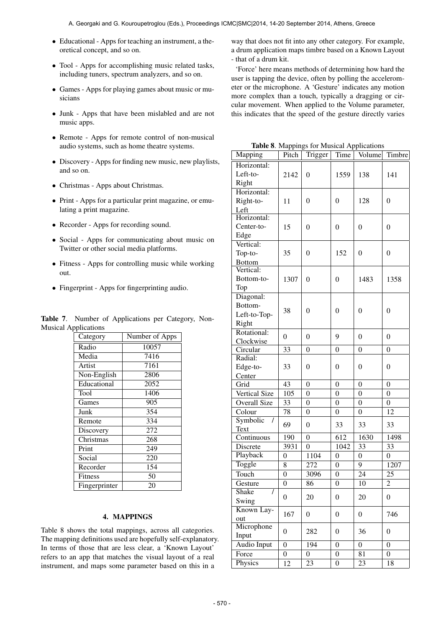- Educational Apps for teaching an instrument, a theoretical concept, and so on.
- Tool Apps for accomplishing music related tasks, including tuners, spectrum analyzers, and so on.
- Games Apps for playing games about music or musicians
- Junk Apps that have been mislabled and are not music apps.
- Remote Apps for remote control of non-musical audio systems, such as home theatre systems.
- Discovery Apps for finding new music, new playlists, and so on.
- Christmas Apps about Christmas.
- Print Apps for a particular print magazine, or emulating a print magazine.
- Recorder Apps for recording sound.
- Social Apps for communicating about music on Twitter or other social media platforms.
- Fitness Apps for controlling music while working out.
- Fingerprint Apps for fingerprinting audio.

Table 7. Number of Applications per Category, Non-Musical Applications

| Category      | Number of Apps    |  |  |  |
|---------------|-------------------|--|--|--|
| Radio         | 10057             |  |  |  |
| Media         | 7416              |  |  |  |
| Artist        | 7161              |  |  |  |
| Non-English   | 2806              |  |  |  |
| Educational   | $\overline{20}52$ |  |  |  |
| Tool          | 1406              |  |  |  |
| Games         | 905               |  |  |  |
| Junk          | 354               |  |  |  |
| Remote        | 334               |  |  |  |
| Discovery     | 272               |  |  |  |
| Christmas     | 268               |  |  |  |
| Print         | 249               |  |  |  |
| Social        | 220               |  |  |  |
| Recorder      | 154               |  |  |  |
| Fitness       | 50                |  |  |  |
| Fingerprinter | 20                |  |  |  |

### 4. MAPPINGS

Table 8 shows the total mappings, across all categories. The mapping definitions used are hopefully self-explanatory. In terms of those that are less clear, a 'Known Layout' refers to an app that matches the visual layout of a real instrument, and maps some parameter based on this in a

way that does not fit into any other category. For example, a drum application maps timbre based on a Known Layout - that of a drum kit.

'Force' here means methods of determining how hard the user is tapping the device, often by polling the accelerometer or the microphone. A 'Gesture' indicates any motion more complex than a touch, typically a dragging or circular movement. When applied to the Volume parameter, this indicates that the speed of the gesture directly varies

Table 8. Mappings for Musical Applications

| Mapping                      | Pitch            | re of mappings for masiear reprieditor<br>Trigger | $Time \mid$      | Volume           | Timbre                  |
|------------------------------|------------------|---------------------------------------------------|------------------|------------------|-------------------------|
| Horizontal:                  |                  |                                                   |                  |                  |                         |
| Left-to-                     | 2142             | $\mathbf{0}$                                      | 1559             | 138              | 141                     |
| Right                        |                  |                                                   |                  |                  |                         |
| Horizontal:                  |                  |                                                   |                  |                  |                         |
| Right-to-                    | 11               | $\boldsymbol{0}$                                  | $\boldsymbol{0}$ | 128              | $\boldsymbol{0}$        |
| Left                         |                  |                                                   |                  |                  |                         |
| Horizontal:                  |                  |                                                   |                  |                  |                         |
| Center-to-                   | 15               | $\boldsymbol{0}$                                  | $\overline{0}$   | $\boldsymbol{0}$ | $\overline{0}$          |
| Edge                         |                  |                                                   |                  |                  |                         |
| Vertical:                    |                  |                                                   |                  |                  |                         |
| Top-to-                      | 35               | $\boldsymbol{0}$                                  | 152              | $\boldsymbol{0}$ | $\boldsymbol{0}$        |
| <b>Bottom</b><br>Vertical:   |                  |                                                   |                  |                  |                         |
| Bottom-to-                   | 1307             | $\overline{0}$                                    | $\theta$         | 1483             | 1358                    |
| Top                          |                  |                                                   |                  |                  |                         |
| Diagonal:                    |                  |                                                   |                  |                  |                         |
| Bottom-                      |                  |                                                   |                  |                  |                         |
| Left-to-Top-                 | 38               | $\overline{0}$                                    | $\overline{0}$   | $\overline{0}$   | $\overline{0}$          |
| Right                        |                  |                                                   |                  |                  |                         |
| Rotational:                  |                  |                                                   |                  |                  |                         |
| Clockwise                    | $\boldsymbol{0}$ | $\boldsymbol{0}$                                  | 9                | $\boldsymbol{0}$ | $\boldsymbol{0}$        |
| Circular                     | 33               | $\boldsymbol{0}$                                  | $\overline{0}$   | $\overline{0}$   | $\mathbf{0}$            |
| Radial:                      |                  |                                                   |                  |                  |                         |
| Edge-to-                     | 33               | $\overline{0}$                                    | $\overline{0}$   | $\overline{0}$   | $\overline{0}$          |
| Center                       |                  |                                                   |                  |                  |                         |
| Grid                         | 43               | $\boldsymbol{0}$                                  | $\boldsymbol{0}$ | $\boldsymbol{0}$ | $\boldsymbol{0}$        |
| Vertical Size                | 105              | $\overline{0}$                                    | $\boldsymbol{0}$ | $\boldsymbol{0}$ | $\boldsymbol{0}$        |
| Overall Size                 | 33               | $\boldsymbol{0}$                                  | $\boldsymbol{0}$ | $\overline{0}$   | $\boldsymbol{0}$        |
| Colour                       | 78               | $\boldsymbol{0}$                                  | $\boldsymbol{0}$ | $\overline{0}$   | 12                      |
| Symbolic<br>$\prime$<br>Text | 69               | $\boldsymbol{0}$                                  | 33               | 33               | 33                      |
| Continuous                   | 190              | $\boldsymbol{0}$                                  | 612              | 1630             | 1498                    |
| Discrete                     | 3931             | $\mathbf{0}$                                      | 1042             | 33               | 33                      |
| Playback                     | 0                | 1104                                              | $\overline{0}$   | $\overline{0}$   | $\overline{0}$          |
| Toggle                       | 8                | 272                                               | $\boldsymbol{0}$ | 9                | 1207                    |
| Touch                        | $\boldsymbol{0}$ | 3096                                              | $\boldsymbol{0}$ | $\overline{2}$ 4 | 25                      |
| Gesture                      | 0                | 86                                                | 0                | 10               | $\overline{\mathbf{c}}$ |
| Shake<br>I                   |                  |                                                   |                  |                  |                         |
| Swing                        | $\overline{0}$   | 20                                                | 0                | 20               | $\boldsymbol{0}$        |
| Known Lay-                   |                  |                                                   |                  |                  |                         |
| out                          | 167              | $\boldsymbol{0}$                                  | $\boldsymbol{0}$ | 0                | 746                     |
| Microphone                   | $\boldsymbol{0}$ | 282                                               | $\overline{0}$   | 36               | $\boldsymbol{0}$        |
| Input                        |                  |                                                   |                  |                  |                         |
| <b>Audio Input</b>           | $\overline{0}$   | 194                                               | $\boldsymbol{0}$ | $\overline{0}$   | $\boldsymbol{0}$        |
| Force                        | 0                | $\boldsymbol{0}$                                  | 0                | 81               | $\overline{0}$          |
| Physics                      | 12               | 23                                                | $\boldsymbol{0}$ | 23               | 18                      |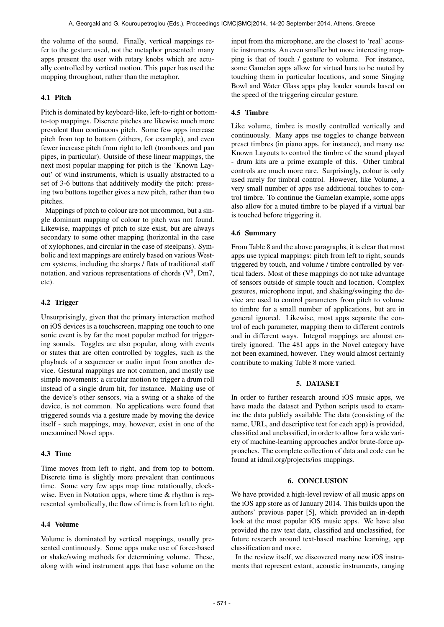the volume of the sound. Finally, vertical mappings refer to the gesture used, not the metaphor presented: many apps present the user with rotary knobs which are actually controlled by vertical motion. This paper has used the mapping throughout, rather than the metaphor.

# 4.1 Pitch

Pitch is dominated by keyboard-like, left-to-right or bottomto-top mappings. Discrete pitches are likewise much more prevalent than continuous pitch. Some few apps increase pitch from top to bottom (zithers, for example), and even fewer increase pitch from right to left (trombones and pan pipes, in particular). Outside of these linear mappings, the next most popular mapping for pitch is the 'Known Layout' of wind instruments, which is usually abstracted to a set of 3-6 buttons that additively modify the pitch: pressing two buttons together gives a new pitch, rather than two pitches.

Mappings of pitch to colour are not uncommon, but a single dominant mapping of colour to pitch was not found. Likewise, mappings of pitch to size exist, but are always secondary to some other mapping (horizontal in the case of xylophones, and circular in the case of steelpans). Symbolic and text mappings are entirely based on various Western systems, including the sharps / flats of traditional staff notation, and various representations of chords  $(V^6, Dm7)$ , etc).

## 4.2 Trigger

Unsurprisingly, given that the primary interaction method on iOS devices is a touchscreen, mapping one touch to one sonic event is by far the most popular method for triggering sounds. Toggles are also popular, along with events or states that are often controlled by toggles, such as the playback of a sequencer or audio input from another device. Gestural mappings are not common, and mostly use simple movements: a circular motion to trigger a drum roll instead of a single drum hit, for instance. Making use of the device's other sensors, via a swing or a shake of the device, is not common. No applications were found that triggered sounds via a gesture made by moving the device itself - such mappings, may, however, exist in one of the unexamined Novel apps.

## 4.3 Time

Time moves from left to right, and from top to bottom. Discrete time is slightly more prevalent than continuous time. Some very few apps map time rotationally, clockwise. Even in Notation apps, where time  $\&$  rhythm is represented symbolically, the flow of time is from left to right.

# 4.4 Volume

Volume is dominated by vertical mappings, usually presented continuously. Some apps make use of force-based or shake/swing methods for determining volume. These, along with wind instrument apps that base volume on the input from the microphone, are the closest to 'real' acoustic instruments. An even smaller but more interesting mapping is that of touch / gesture to volume. For instance, some Gamelan apps allow for virtual bars to be muted by touching them in particular locations, and some Singing Bowl and Water Glass apps play louder sounds based on the speed of the triggering circular gesture.

## 4.5 Timbre

Like volume, timbre is mostly controlled vertically and continuously. Many apps use toggles to change between preset timbres (in piano apps, for instance), and many use Known Layouts to control the timbre of the sound played - drum kits are a prime example of this. Other timbral controls are much more rare. Surprisingly, colour is only used rarely for timbral control. However, like Volume, a very small number of apps use additional touches to control timbre. To continue the Gamelan example, some apps also allow for a muted timbre to be played if a virtual bar is touched before triggering it.

## 4.6 Summary

From Table 8 and the above paragraphs, it is clear that most apps use typical mappings: pitch from left to right, sounds triggered by touch, and volume / timbre controlled by vertical faders. Most of these mappings do not take advantage of sensors outside of simple touch and location. Complex gestures, microphone input, and shaking/swinging the device are used to control parameters from pitch to volume to timbre for a small number of applications, but are in general ignored. Likewise, most apps separate the control of each parameter, mapping them to different controls and in different ways. Integral mappings are almost entirely ignored. The 481 apps in the Novel category have not been examined, however. They would almost certainly contribute to making Table 8 more varied.

### 5. DATASET

In order to further research around iOS music apps, we have made the dataset and Python scripts used to examine the data publicly available The data (consisting of the name, URL, and descriptive text for each app) is provided, classified and unclassified, in order to allow for a wide variety of machine-learning approaches and/or brute-force approaches. The complete collection of data and code can be found at idmil.org/projects/ios mappings.

# 6. CONCLUSION

We have provided a high-level review of all music apps on the iOS app store as of January 2014. This builds upon the authors' previous paper [5], which provided an in-depth look at the most popular iOS music apps. We have also provided the raw text data, classified and unclassified, for future research around text-based machine learning, app classification and more.

In the review itself, we discovered many new iOS instruments that represent extant, acoustic instruments, ranging